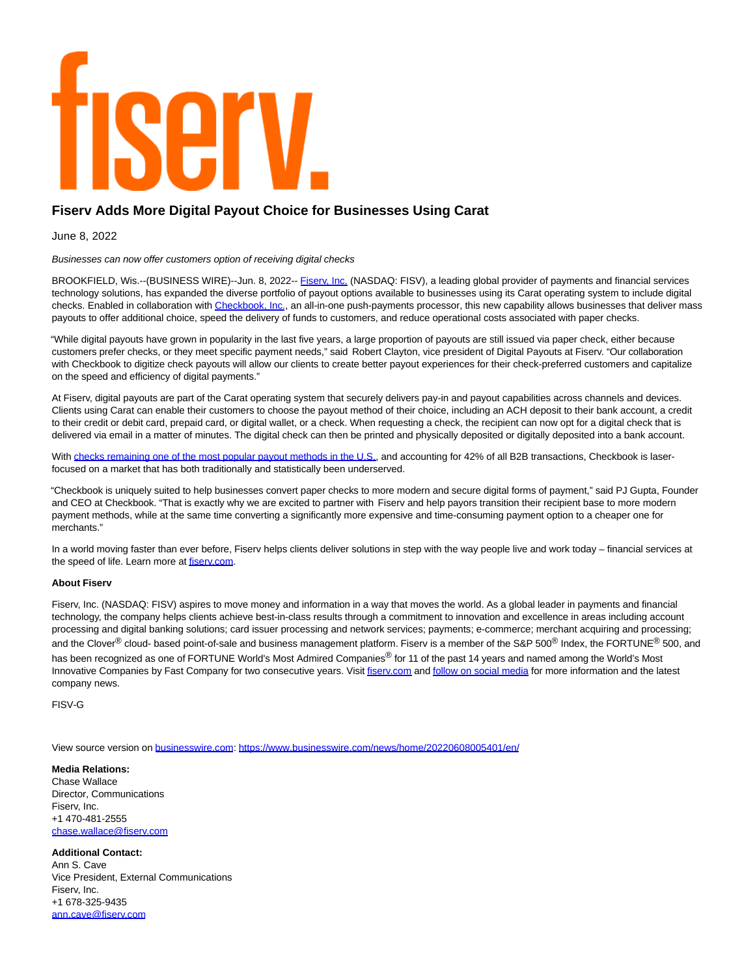# Serv

# **Fiserv Adds More Digital Payout Choice for Businesses Using Carat**

June 8, 2022

Businesses can now offer customers option of receiving digital checks

BROOKFIELD, Wis.--(BUSINESS WIRE)--Jun. 8, 2022-- [Fiserv, Inc. \(](https://cts.businesswire.com/ct/CT?id=smartlink&url=http%3A%2F%2Fwww.fiserv.com%2F&esheet=52743089&newsitemid=20220608005401&lan=en-US&anchor=Fiserv%2C+Inc.&index=1&md5=14f6451a5fc25b8ada8dae1023973e3e)NASDAQ: FISV), a leading global provider of payments and financial services technology solutions, has expanded the diverse portfolio of payout options available to businesses using its Carat operating system to include digital checks. Enabled in collaboration wit[h Checkbook, Inc.,](https://cts.businesswire.com/ct/CT?id=smartlink&url=http%3A%2F%2Fwww.checkbook.io%2F&esheet=52743089&newsitemid=20220608005401&lan=en-US&anchor=Checkbook%2C+Inc.&index=2&md5=1422019f7358131eed23428812b19ed7) an all-in-one push-payments processor, this new capability allows businesses that deliver mass payouts to offer additional choice, speed the delivery of funds to customers, and reduce operational costs associated with paper checks.

"While digital payouts have grown in popularity in the last five years, a large proportion of payouts are still issued via paper check, either because customers prefer checks, or they meet specific payment needs," said Robert Clayton, vice president of Digital Payouts at Fiserv. "Our collaboration with Checkbook to digitize check payouts will allow our clients to create better payout experiences for their check-preferred customers and capitalize on the speed and efficiency of digital payments."

At Fiserv, digital payouts are part of the Carat operating system that securely delivers pay-in and payout capabilities across channels and devices. Clients using Carat can enable their customers to choose the payout method of their choice, including an ACH deposit to their bank account, a credit to their credit or debit card, prepaid card, or digital wallet, or a check. When requesting a check, the recipient can now opt for a digital check that is delivered via email in a matter of minutes. The digital check can then be printed and physically deposited or digitally deposited into a bank account.

With [checks remaining one of the most popular payout methods in the U.S.,](https://cts.businesswire.com/ct/CT?id=smartlink&url=https%3A%2F%2Fwww.afponline.org%2Fideas-inspiration%2Ftopics%2Farticles%2FDetails%2Fsurvey-check-use-drops-to-a-new-low-for-b2b-payments__%3B%21%21P9vvK-4S%21kKgqV2JbrCWvfl9jLDa0JGz3zO90J6A6moy3Eh_vEKpNS8dJN5j5rppi4O6NMq7B-boGdXzMQD_wxfry9tf5Rqs%24&esheet=52743089&newsitemid=20220608005401&lan=en-US&anchor=checks+remaining+one+of+the+most+popular+payout+methods+in+the+U.S.&index=3&md5=105afbaadaf0b807e11193467fba374a) and accounting for 42% of all B2B transactions, Checkbook is laserfocused on a market that has both traditionally and statistically been underserved.

"Checkbook is uniquely suited to help businesses convert paper checks to more modern and secure digital forms of payment," said PJ Gupta, Founder and CEO at Checkbook. "That is exactly why we are excited to partner with Fiserv and help payors transition their recipient base to more modern payment methods, while at the same time converting a significantly more expensive and time-consuming payment option to a cheaper one for merchants."

In a world moving faster than ever before, Fiserv helps clients deliver solutions in step with the way people live and work today – financial services at the speed of life. Learn more at fisery.com.

# **About Fiserv**

Fiserv, Inc. (NASDAQ: FISV) aspires to move money and information in a way that moves the world. As a global leader in payments and financial technology, the company helps clients achieve best-in-class results through a commitment to innovation and excellence in areas including account processing and digital banking solutions; card issuer processing and network services; payments; e-commerce; merchant acquiring and processing; and the Clover<sup>®</sup> cloud- based point-of-sale and business management platform. Fiserv is a member of the S&P 500<sup>®</sup> Index, the FORTUNE<sup>®</sup> 500, and has been recognized as one of FORTUNE World's Most Admired Companies® for 11 of the past 14 years and named among the World's Most Innovative Companies by Fast Company for two consecutive years. Visi[t fiserv.com a](https://cts.businesswire.com/ct/CT?id=smartlink&url=http%3A%2F%2Fwww.fiserv.com%2F&esheet=52743089&newsitemid=20220608005401&lan=en-US&anchor=fiserv.com&index=5&md5=47a62d9456014289f5a6de685dd69df9)n[d follow on social media f](https://cts.businesswire.com/ct/CT?id=smartlink&url=https%3A%2F%2Fwww.fiserv.com%2Fen%2Fabout-fiserv%2Fsocial-media.html&esheet=52743089&newsitemid=20220608005401&lan=en-US&anchor=follow+on+social+media&index=6&md5=8ce5d37ae70873fdff43ca66234c351d)or more information and the latest company news.

FISV-G

View source version on [businesswire.com:](http://businesswire.com/)<https://www.businesswire.com/news/home/20220608005401/en/>

## **Media Relations:**

Chase Wallace Director, Communications Fisery, Inc. +1 470-481-2555 [chase.wallace@fiserv.com](mailto:chase.wallace@fiserv.com)

## **Additional Contact:**

Ann S. Cave Vice President, External Communications Fiserv, Inc. +1 678-325-9435 [ann.cave@fiserv.com](mailto:ann.cave@fiserv.com)